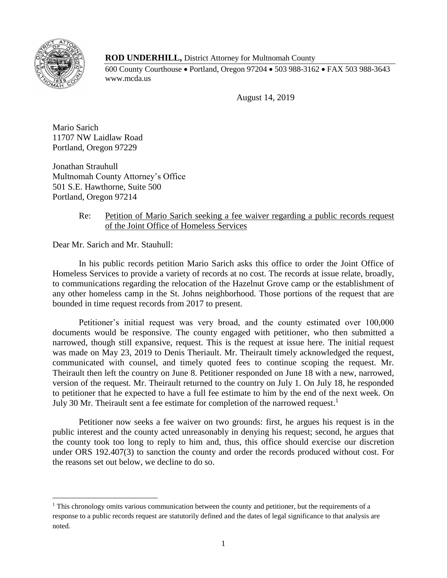

 $\overline{\phantom{a}}$ 

## **ROD UNDERHILL,** District Attorney for Multnomah County

600 County Courthouse Portland, Oregon 97204 503 988-3162 FAX 503 988-3643 www.mcda.us

August 14, 2019

Mario Sarich 11707 NW Laidlaw Road Portland, Oregon 97229

Jonathan Strauhull Multnomah County Attorney's Office 501 S.E. Hawthorne, Suite 500 Portland, Oregon 97214

## Re: Petition of Mario Sarich seeking a fee waiver regarding a public records request of the Joint Office of Homeless Services

Dear Mr. Sarich and Mr. Stauhull:

In his public records petition Mario Sarich asks this office to order the Joint Office of Homeless Services to provide a variety of records at no cost. The records at issue relate, broadly, to communications regarding the relocation of the Hazelnut Grove camp or the establishment of any other homeless camp in the St. Johns neighborhood. Those portions of the request that are bounded in time request records from 2017 to present.

Petitioner's initial request was very broad, and the county estimated over 100,000 documents would be responsive. The county engaged with petitioner, who then submitted a narrowed, though still expansive, request. This is the request at issue here. The initial request was made on May 23, 2019 to Denis Theriault. Mr. Theirault timely acknowledged the request, communicated with counsel, and timely quoted fees to continue scoping the request. Mr. Theirault then left the country on June 8. Petitioner responded on June 18 with a new, narrowed, version of the request. Mr. Theirault returned to the country on July 1. On July 18, he responded to petitioner that he expected to have a full fee estimate to him by the end of the next week. On July 30 Mr. Theirault sent a fee estimate for completion of the narrowed request.<sup>1</sup>

Petitioner now seeks a fee waiver on two grounds: first, he argues his request is in the public interest and the county acted unreasonably in denying his request; second, he argues that the county took too long to reply to him and, thus, this office should exercise our discretion under ORS 192.407(3) to sanction the county and order the records produced without cost. For the reasons set out below, we decline to do so.

<sup>&</sup>lt;sup>1</sup> This chronology omits various communication between the county and petitioner, but the requirements of a response to a public records request are statutorily defined and the dates of legal significance to that analysis are noted.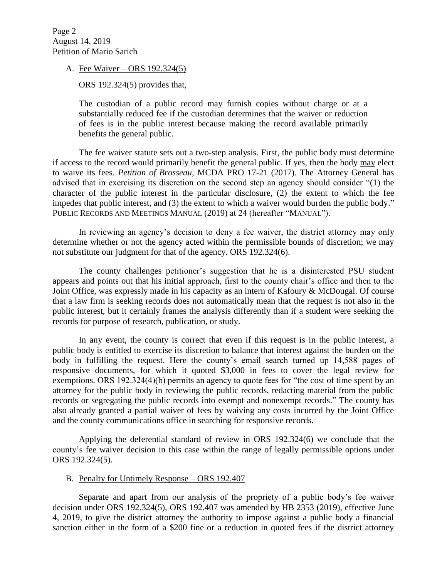Page 2 August 14, 2019 Petition of Mario Sarich

A. Fee Waiver – ORS 192.324(5)

ORS 192.324(5) provides that,

The custodian of a public record may furnish copies without charge or at a substantially reduced fee if the custodian determines that the waiver or reduction of fees is in the public interest because making the record available primarily benefits the general public.

The fee waiver statute sets out a two-step analysis. First, the public body must determine if access to the record would primarily benefit the general public. If yes, then the body may elect to waive its fees. *Petition of Brosseau*, MCDA PRO 17-21 (2017). The Attorney General has advised that in exercising its discretion on the second step an agency should consider "(1) the character of the public interest in the particular disclosure, (2) the extent to which the fee impedes that public interest, and (3) the extent to which a waiver would burden the public body." PUBLIC RECORDS AND MEETINGS MANUAL (2019) at 24 (hereafter "MANUAL").

In reviewing an agency's decision to deny a fee waiver, the district attorney may only determine whether or not the agency acted within the permissible bounds of discretion; we may not substitute our judgment for that of the agency. ORS 192.324(6).

The county challenges petitioner's suggestion that he is a disinterested PSU student appears and points out that his initial approach, first to the county chair's office and then to the Joint Office, was expressly made in his capacity as an intern of Kafoury & McDougal. Of course that a law firm is seeking records does not automatically mean that the request is not also in the public interest, but it certainly frames the analysis differently than if a student were seeking the records for purpose of research, publication, or study.

In any event, the county is correct that even if this request is in the public interest, a public body is entitled to exercise its discretion to balance that interest against the burden on the body in fulfilling the request. Here the county's email search turned up 14,588 pages of responsive documents, for which it quoted \$3,000 in fees to cover the legal review for exemptions. ORS 192.324(4)(b) permits an agency to quote fees for "the cost of time spent by an attorney for the public body in reviewing the public records, redacting material from the public records or segregating the public records into exempt and nonexempt records." The county has also already granted a partial waiver of fees by waiving any costs incurred by the Joint Office and the county communications office in searching for responsive records.

Applying the deferential standard of review in ORS 192.324(6) we conclude that the county's fee waiver decision in this case within the range of legally permissible options under ORS 192.324(5).

## B. Penalty for Untimely Response – ORS 192.407

Separate and apart from our analysis of the propriety of a public body's fee waiver decision under ORS 192.324(5), ORS 192.407 was amended by HB 2353 (2019), effective June 4, 2019, to give the district attorney the authority to impose against a public body a financial sanction either in the form of a \$200 fine or a reduction in quoted fees if the district attorney